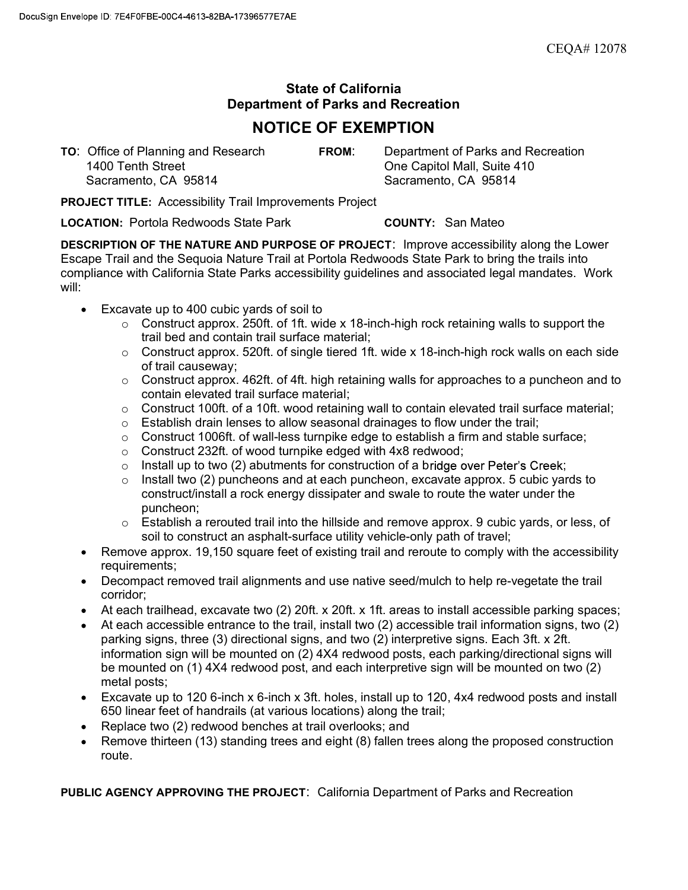## State of California Department of Parks and Recreation

## NOTICE OF EXEMPTION

TO: Office of Planning and Research FROM: Department of Parks and Recreation 1400 Tenth Street One Capitol Mall, Suite 410 Sacramento, CA 95814 Sacramento, CA 95814

PROJECT TITLE: Accessibility Trail Improvements Project

LOCATION: Portola Redwoods State Park COUNTY: San Mateo

DESCRIPTION OF THE NATURE AND PURPOSE OF PROJECT: Improve accessibility along the Lower Escape Trail and the Sequoia Nature Trail at Portola Redwoods State Park to bring the trails into compliance with California State Parks accessibility guidelines and associated legal mandates. Work will:

- Excavate up to 400 cubic yards of soil to
	- $\circ$   $\,$  Construct approx. 250ft. of 1ft. wide x 18-inch-high rock retaining walls to support the trail bed and contain trail surface material;
	- $\circ$  Construct approx. 520ft. of single tiered 1ft. wide x 18-inch-high rock walls on each side of trail causeway;
	- $\circ$   $\,$  Construct approx. 462ft. of 4ft. high retaining walls for approaches to a puncheon and to contain elevated trail surface material;
	- o Construct 100ft. of a 10ft. wood retaining wall to contain elevated trail surface material;
	- $\circ$  Establish drain lenses to allow seasonal drainages to flow under the trail;
	- $\circ$  Construct 1006ft. of wall-less turnpike edge to establish a firm and stable surface;
	- o Construct 232ft. of wood turnpike edged with 4x8 redwood;
	- $\circ$  Install up to two (2) abutments for construction of a bridge over Peter's Creek;
	- $\circ$   $\;$  Install two (2) puncheons and at each puncheon, excavate approx. 5 cubic yards to construct/install a rock energy dissipater and swale to route the water under the puncheon;
	- $\circ$  Establish a rerouted trail into the hillside and remove approx. 9 cubic yards, or less, of soil to construct an asphalt-surface utility vehicle-only path of travel;
- Remove approx, 19,150 square feet of existing trail and reroute to comply with the accessibility requirements;
- Decompact removed trail alignments and use native seed/mulch to help re-vegetate the trail corridor;
- At each trailhead, excavate two (2) 20ft. x 20ft. x 1ft. areas to install accessible parking spaces;
- At each accessible entrance to the trail, install two (2) accessible trail information signs, two (2) parking signs, three (3) directional signs, and two (2) interpretive signs. Each 3ft. x 2ft. information sign will be mounted on (2) 4X4 redwood posts, each parking/directional signs will be mounted on (1) 4X4 redwood post, and each interpretive sign will be mounted on two (2) metal posts;
- Excavate up to 120 6-inch x 6-inch x 3ft. holes, install up to 120, 4x4 redwood posts and install 650 linear feet of handrails (at various locations) along the trail;
- Replace two (2) redwood benches at trail overlooks; and
- Remove thirteen (13) standing trees and eight (8) fallen trees along the proposed construction route.

PUBLIC AGENCY APPROVING THE PROJECT: California Department of Parks and Recreation